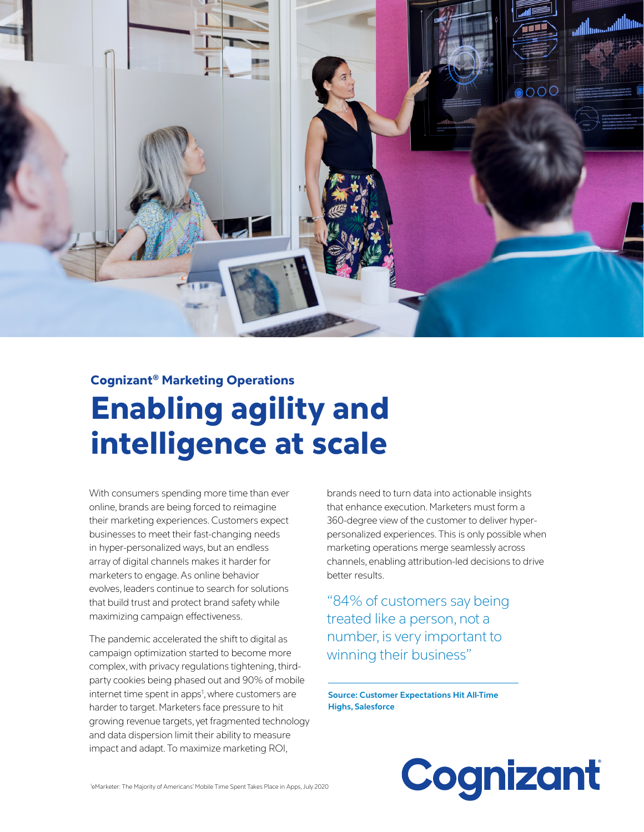

# Cognizant® Marketing Operations Enabling agility and intelligence at scale

With consumers spending more time than ever online, brands are being forced to reimagine their marketing experiences. Customers expect businesses to meet their fast-changing needs in hyper-personalized ways, but an endless array of digital channels makes it harder for marketers to engage. As online behavior evolves, leaders continue to search for solutions that build trust and protect brand safety while maximizing campaign effectiveness.

The pandemic accelerated the shift to digital as campaign optimization started to become more complex, with privacy regulations tightening, thirdparty cookies being phased out and 90% of mobile internet time spent in apps<sup>1</sup>, where customers are harder to target. Marketers face pressure to hit growing revenue targets, yet fragmented technology and data dispersion limit their ability to measure impact and adapt. To maximize marketing ROI,

brands need to turn data into actionable insights that enhance execution. Marketers must form a 360-degree view of the customer to deliver hyperpersonalized experiences. This is only possible when marketing operations merge seamlessly across channels, enabling attribution-led decisions to drive better results.

"84% of customers say being treated like a person, not a number, is very important to winning their business"

**Source: Customer Expectations Hit All-Time Highs, Salesforce** 

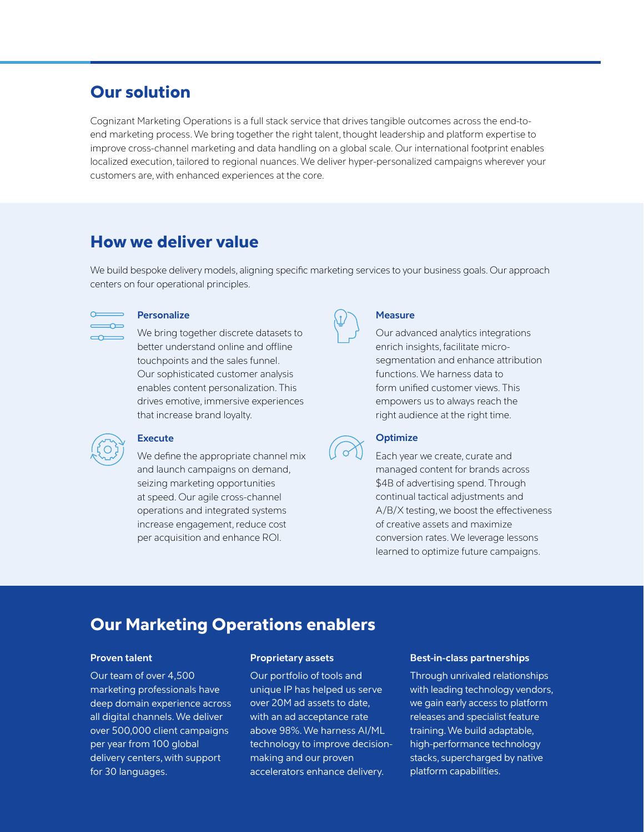# Our solution

Cognizant Marketing Operations is a full stack service that drives tangible outcomes across the end-toend marketing process. We bring together the right talent, thought leadership and platform expertise to improve cross-channel marketing and data handling on a global scale. Our international footprint enables localized execution, tailored to regional nuances. We deliver hyper-personalized campaigns wherever your customers are, with enhanced experiences at the core.

# How we deliver value

We build bespoke delivery models, aligning specific marketing services to your business goals. Our approach centers on four operational principles.



### **Personalize**

We bring together discrete datasets to better understand online and offline touchpoints and the sales funnel. Our sophisticated customer analysis enables content personalization. This drives emotive, immersive experiences that increase brand loyalty.



### **Execute**

We define the appropriate channel mix and launch campaigns on demand, seizing marketing opportunities at speed. Our agile cross-channel operations and integrated systems increase engagement, reduce cost per acquisition and enhance ROI.



### **Measure**

Our advanced analytics integrations enrich insights, facilitate microsegmentation and enhance attribution functions. We harness data to form unified customer views. This empowers us to always reach the right audience at the right time.



# **Optimize**

Each year we create, curate and managed content for brands across \$4B of advertising spend. Through continual tactical adjustments and A/B/X testing, we boost the effectiveness of creative assets and maximize conversion rates. We leverage lessons learned to optimize future campaigns.

# Our Marketing Operations enablers

## **Proven talent**

Our team of over 4,500 marketing professionals have deep domain experience across all digital channels. We deliver over 500,000 client campaigns per year from 100 global delivery centers, with support for 30 languages.

## **Proprietary assets**

Our portfolio of tools and unique IP has helped us serve over 20M ad assets to date, with an ad acceptance rate above 98%. We harness AI/ML technology to improve decisionmaking and our proven accelerators enhance delivery.

### **Best-in-class partnerships**

Through unrivaled relationships with leading technology vendors, we gain early access to platform releases and specialist feature training. We build adaptable, high-performance technology stacks, supercharged by native platform capabilities.